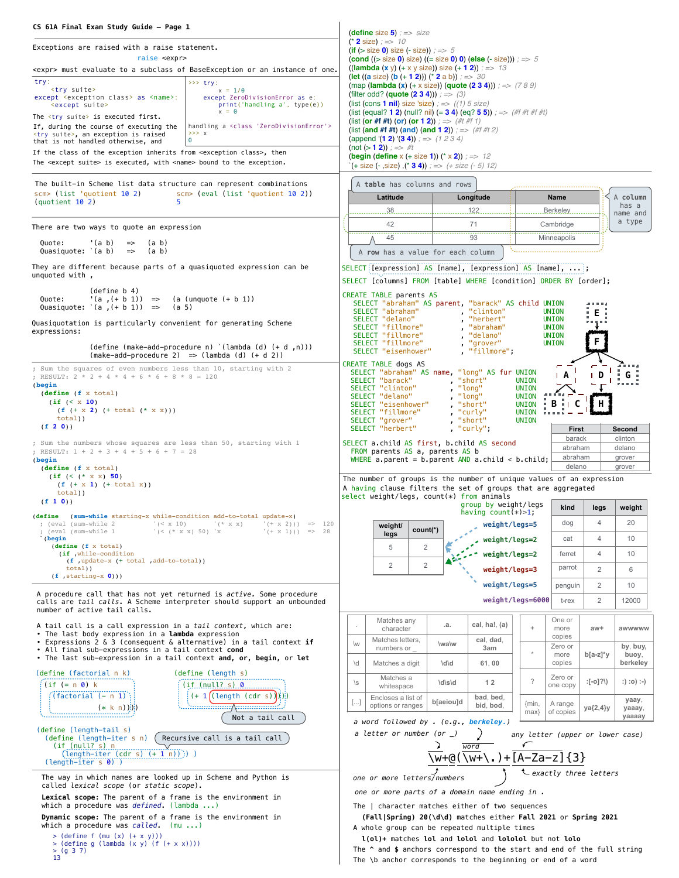| CS 61A Final Exam Study Guide - Page 1                                                                                                                                                                                                                                          | <b>(define</b> size $5$ ) $\Rightarrow$ size                                                                                                                                                              |  |
|---------------------------------------------------------------------------------------------------------------------------------------------------------------------------------------------------------------------------------------------------------------------------------|-----------------------------------------------------------------------------------------------------------------------------------------------------------------------------------------------------------|--|
| Exceptions are raised with a raise statement.                                                                                                                                                                                                                                   | (* 2 size) ; $\Rightarrow$ 10<br>(if ( $>$ size 0) size ( $-$ size)) ; = > 5                                                                                                                              |  |
| raise <expr><br/><expr> must evaluate to a subclass of BaseException or an instance of one.</expr></expr>                                                                                                                                                                       | <b>(cond ((&gt; size 0) size) ((= size 0) 0) (else (- size)))</b> $\Rightarrow$ 5<br>((lambda (x y) (+ x y size)) size (+ 1 2)) $\approx$ => 13                                                           |  |
| try:<br>$>> try$ :                                                                                                                                                                                                                                                              | <b>(let ((a</b> size) <b>(b (+ 1 2)))</b> (* 2 a b)) $\Rightarrow$ 30<br>(map (lambda (x) (+ x size)) (quote (2 3 4))) $\Rightarrow$ (7 8 9)                                                              |  |
| <try suite=""><br/><math>x = 1/0</math><br/>except <exception class=""> as <name>:<br/>except ZeroDivisionError as e:<br/><except suite=""><br/>print('handling a', type(e))<br/><math>x = 0</math></except></name></exception></try>                                           | (filter odd? (quote $(2 3 4)$ )) : => (3)<br>(list (cons 1 nil) size 'size) ; $\Rightarrow$ ((1) 5 size)<br>(list (equal? 1 2) (null? nil) (= 3 4) (eq? 5 5)) ; => (#f #t #f #t)                          |  |
| The <try suite=""> is executed first.<br/>handling a <class 'zerodivisionerror'=""><br/>If, during the course of executing the<br/>&gt;&gt;&gt; x<br/><try suite="">, an exception is raised<br/><math>\Theta</math><br/>that is not handled otherwise, and</try></class></try> | (list (or #f #t) (or) (or 1 2)); $\Rightarrow$ (#t #f 1)<br>(list (and #f #t) (and) (and 1 2)); => (#f #t 2)<br>(append '(1 2) '(3 4)) $\approx$ (1 2 3 4)                                                |  |
| If the class of the exception inherits from <exception class="">, then<br/>The <except suite=""> is executed, with <name> bound to the exception.</name></except></exception>                                                                                                   | (not (> 1 2)) ; => #t<br><b>(begin (define</b> x (+ size <b>1))</b> (* x <b>2)</b> ) ; => 12<br>$\text{'( + size (-, size), (' 3 4)) } := \text{ + size (-5) 12)}$                                        |  |
| The built-in Scheme list data structure can represent combinations                                                                                                                                                                                                              | A table has columns and rows                                                                                                                                                                              |  |
| scm> (list 'quotient 10 2)<br>scm> (eval (list 'quotient 10 2))<br>$\frac{1}{2}$ (quotient 10 2)<br>5                                                                                                                                                                           | Latitude<br>Longitude<br>A column<br>Name<br>has a                                                                                                                                                        |  |
|                                                                                                                                                                                                                                                                                 | 38<br>.122<br>Berkeley<br>name and<br>a type<br>42<br>71<br>Cambridge                                                                                                                                     |  |
| There are two ways to quote an expression                                                                                                                                                                                                                                       | 45<br>93<br>Minneapolis                                                                                                                                                                                   |  |
| Quote:<br>'(a b)<br>$(a \ b)$<br>$\Rightarrow$<br>Quasiquote: $(a b)$<br>$(a \ b)$<br>$\Rightarrow$                                                                                                                                                                             | A row has a value for each column                                                                                                                                                                         |  |
| They are different because parts of a quasiquoted expression can be<br>unquoted with,                                                                                                                                                                                           | SELECT [expression] AS [name], [expression] AS [name],  ;<br>SELECT [columns] FROM [table] WHERE [condition] ORDER BY [order];                                                                            |  |
| (detine b 4)<br>$'(a, (+ b 1)) ==$<br>$(a (unquote (+ b 1))$<br>Quote:<br>Quasiquote: $(a, (+ b 1))$ =><br>(a, 5)                                                                                                                                                               | CREATE TABLE parents AS<br>SELECT "abraham" AS parent, "barack" AS child UNION                                                                                                                            |  |
| Quasiquotation is particularly convenient for generating Scheme<br>expressions:                                                                                                                                                                                                 | "clinton"<br>SELECT "abraham"<br>UNION<br>Е<br>$\mathbf{r}$<br>"herbert"<br>SELECT "delano"<br>UNION<br>SELECT "fillmore"<br>"abraham"<br>UNION<br>SELECT "fillmore"<br>"delano"<br>UNION<br>$\mathbf{r}$ |  |
| $(detine (make-add-procedure n) '(lambda (d) (+ d, n)))$<br>$(make-add-procedure 2) \implies (lambda (d) (+ d 2))$                                                                                                                                                              | "grover"<br>SELECT "fillmore"<br>UNION<br>SELECT "eisenhower"<br>"fillmore",<br>CREATE TABLE dogs AS                                                                                                      |  |
| ; Sum the squares of even numbers less than 10, starting with 2<br>; RESULT: $2 * 2 + 4 * 4 + 6 * 6 + 8 * 8 = 120$                                                                                                                                                              | SELECT "abraham" AS name,<br>"long" AS fur UNION<br>G<br>D<br>"short"<br>SELECT "barack"<br><b>UNION</b>                                                                                                  |  |
| (begin<br>(define (f x total)                                                                                                                                                                                                                                                   | "long"<br>SELECT "clinton"<br><b>UNION</b><br>"long"<br>SELECT "delano"<br>UNION                                                                                                                          |  |
| (if (< x 10)<br>$(f (+ x 2) (+ total (* x x)))$                                                                                                                                                                                                                                 | В<br>"short"<br><b>UNION</b><br>SELECT "eisenhower"<br>"curly"<br>SELECT "fillmore"<br><b>UNION</b>                                                                                                       |  |
| total()<br>(f 2 0)                                                                                                                                                                                                                                                              | SELECT "grover"<br>"short"<br><b>UNION</b><br>SELECT "herbert"<br>"curly";<br>First<br>Second                                                                                                             |  |
| ; Sum the numbers whose squares are less than 50, starting with 1                                                                                                                                                                                                               | barack<br>clinton<br>SELECT a.child AS first, b.child AS second                                                                                                                                           |  |
| ; RESULT: $1 + 2 + 3 + 4 + 5 + 6 + 7 = 28$<br>(begin                                                                                                                                                                                                                            | abraham<br>delano<br>FROM parents AS a, parents AS b<br>abraham<br>grover<br>WHERE a parent = $b$ parent AND a child < $b$ child;                                                                         |  |
| (define (f x total)<br>(if (< x x) 50)                                                                                                                                                                                                                                          | delano<br>grover                                                                                                                                                                                          |  |
| $(f (+ x 1) (+ total x))$<br>total)                                                                                                                                                                                                                                             | The number of groups is the number of unique values of an expression<br>A having clause filters the set of groups that are aggregated                                                                     |  |
| (f 1 0)                                                                                                                                                                                                                                                                         | select weight/legs, count(*) from animals<br>group by weight/legs<br>kind<br>legs<br>weight                                                                                                               |  |
| (define<br>(sum-while starting-x while-condition add-to-total update-x)<br>; (eval (sum-while 2)<br>$'(2 \times 10)$<br>$'$ ( $*$ $X$ $X$ )<br>$' (+ x 2))$ => 120                                                                                                              | having count $(*)>1$ ;<br>4<br>20<br>dog<br>weight/legs=5<br>weight/                                                                                                                                      |  |
| ; (eval (sum-while 1<br>$'($ < $(* \times x)$ 50) $'x$<br>$'(+ x 1))$ => 28<br>(begin                                                                                                                                                                                           | count(*)<br>legs<br>$\overline{4}$<br>10<br>weight/legs=2<br>cat                                                                                                                                          |  |
| (define (f x total)<br>(if , while-condition                                                                                                                                                                                                                                    | 2<br>5<br>weight/legs=2<br>$\overline{4}$<br>10<br>ferret                                                                                                                                                 |  |
| $(f, update-x (+ total, add-to-total))$<br>$total)$ )                                                                                                                                                                                                                           | $\overline{2}$<br>$\overline{2}$<br>parrot<br>weight/legs=3<br>2<br>6                                                                                                                                     |  |
| $(f$ , starting-x $0))$                                                                                                                                                                                                                                                         | weight/legs=5<br>2<br>10<br>penguin                                                                                                                                                                       |  |
| A procedure call that has not yet returned is active. Some procedure<br>calls are tail calls. A Scheme interpreter should support an unbounded<br>number of active tail calls.                                                                                                  | weight/legs=6000<br>2<br>t-rex<br>12000                                                                                                                                                                   |  |
| A tail call is a call expression in a tail context, which are:<br>. The last body expression in a lambda expression                                                                                                                                                             | One or<br>Matches any<br>cal, ha!, $(a)$<br>.а.<br>$\cdot$<br>$^{+}$<br>character<br>more<br>aw+<br>awwwww<br>copies                                                                                      |  |
| • Expressions 2 & 3 (consequent & alternative) in a tail context if<br>. All final sub-expressions in a tail context cond<br>• The last sub-expression in a tail context and, or, begin, or let                                                                                 | Matches letters,<br>cal, dad,<br>\w<br>\wa\w<br>Zero or<br>by, buy,<br>numbers or<br>3am<br>$\star$<br>$b[a-z]^*y$<br>more<br>buoy,                                                                       |  |
| (define (factorial n k)<br>(define (length s)                                                                                                                                                                                                                                   | berkeley<br>\d<br>copies<br>Matches a digit<br>\d\d<br>61,00                                                                                                                                              |  |
| $i$ (if $(= n 0) k$                                                                                                                                                                                                                                                             | Zero or<br>Matches a<br>$\tilde{?}$<br>:[-o]?\)<br>:) :o) :-)<br>$\setminus$ S<br>\d\s\d<br>12<br>one copy<br>whitespace                                                                                  |  |
| $(+ 1 ((length (cdr s))))$<br>$($ factorial (- n 1) $)$<br>$(* k n)$ )                                                                                                                                                                                                          | Encloses a list of<br>bad, bed,<br>yaay,<br>b[aeiou]d<br>[]<br>{min,<br>A range<br>bid, bod,<br>options or ranges<br>ya{2,4}y<br>yaaay,<br>of copies<br>$max\}$                                           |  |
| Not a tail call<br>(define (length-tail s)                                                                                                                                                                                                                                      | yaaaay<br>a word followed by . (e.g., berkeley.)                                                                                                                                                          |  |
| Recursive call is a tail call<br>(define (length-iter s n) (<br>$(if_{null}, s)$ n                                                                                                                                                                                              | a letter or number (or $\_)$<br>any letter (upper or lower case)<br>←<br>word                                                                                                                             |  |
| $(length-iter (cdr s) (+ 1 n)))$<br>$(length-iter s 0)$                                                                                                                                                                                                                         | $\sqrt{w}$ +@( $\overline{\sqrt{w+}}\$ .) + [A-Za-z]{3}                                                                                                                                                   |  |
| The way in which names are looked up in Scheme and Python is                                                                                                                                                                                                                    | $\mathcal{L}$ exactly three letters<br>one or more letters/numbers                                                                                                                                        |  |
| called <i>lexical scope</i> (or static scope).<br><b>Lexical scope:</b> The parent of a frame is the environment in                                                                                                                                                             | one or more parts of a domain name ending in.                                                                                                                                                             |  |
| which a procedure was <i>defined</i> . (lambda )                                                                                                                                                                                                                                | The   character matches either of two sequences                                                                                                                                                           |  |
| Dynamic scope: The parent of a frame is the environment in<br>which a procedure was called. $(mu \ldots)$                                                                                                                                                                       | (Fall Spring) 20(\d\d) matches either Fall 2021 or Spring 2021<br>A whole group can be repeated multiple times                                                                                            |  |
| $>$ (define f (mu (x) $(+ x y))$ )<br>$>$ (define g (lambda $(x, y)$ (f $(+ x, x)$ )))                                                                                                                                                                                          | l(ol)+ matches lol and lolol and lololol but not lolo                                                                                                                                                     |  |
| $>$ (g 3 7)<br>13                                                                                                                                                                                                                                                               | The $\hat{ }$ and $\hat{ }$ anchors correspond to the start and end of the full string<br>The $\b$ anchor corresponds to the beginning or end of a word                                                   |  |